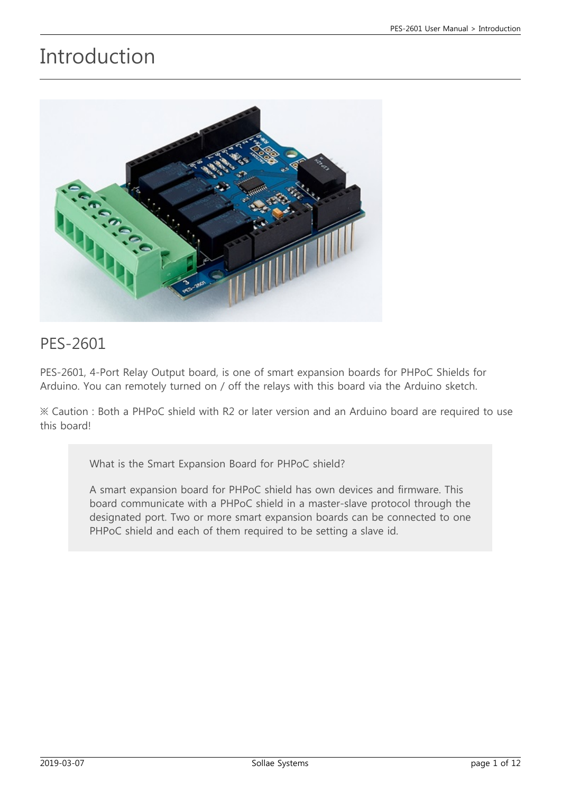## Introduction



#### PES-2601

PES-2601, 4-Port Relay Output board, is one of smart expansion boards for PHPoC Shields for Arduino. You can remotely turned on / off the relays with this board via the Arduino sketch.

※ Caution : Both a PHPoC shield with R2 or later version and an Arduino board are required to use this board!

What is the Smart Expansion Board for PHPoC shield?

A smart expansion board for PHPoC shield has own devices and firmware. This board communicate with a PHPoC shield in a master-slave protocol through the designated port. Two or more smart expansion boards can be connected to one PHPoC shield and each of them required to be setting a slave id.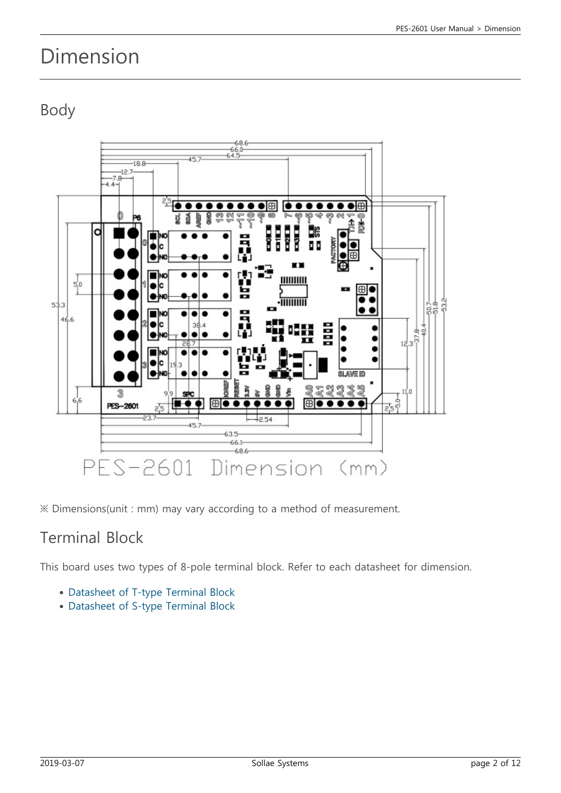## Dimension

## Body



※ Dimensions(unit : mm) may vary according to a method of measurement.

#### Terminal Block

This board uses two types of 8-pole terminal block. Refer to each datasheet for dimension.

- [Datasheet of T-type Terminal Block](https://www.phpoc.com/support/manual/pes-2601_user_manual/img/tb_type_T.pdf)
- [Datasheet of S-type Terminal Block](https://www.phpoc.com/support/manual/pes-2601_user_manual/img/tb_type_S.pdf)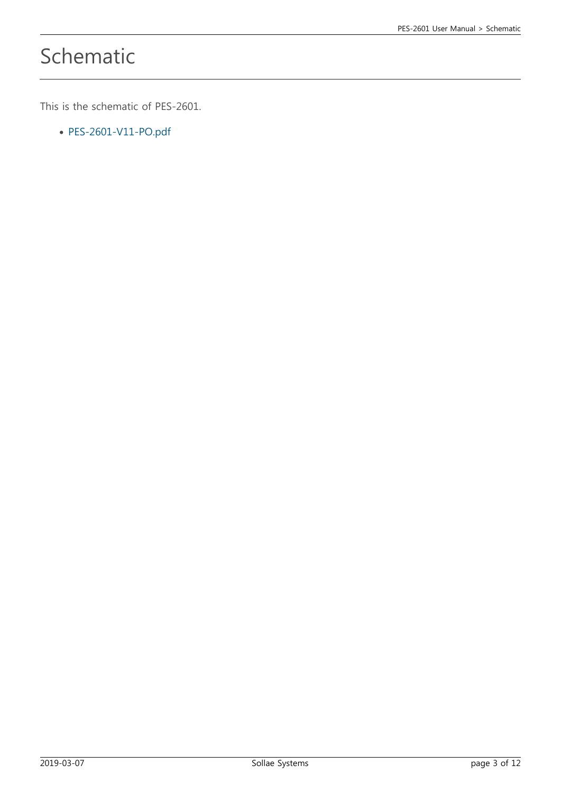# Schematic

This is the schematic of PES-2601.

[PES-2601-V11-PO.pdf](https://www.phpoc.com/support/manual/pes-2601_user_manual/img/PES-2601-V11-PO.pdf)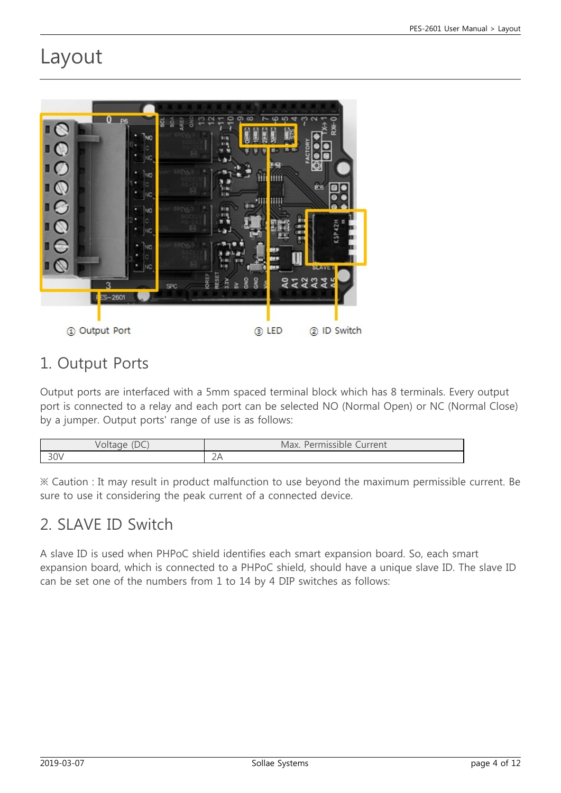## Layout



#### 1. Output Ports

Output ports are interfaced with a 5mm spaced terminal block which has 8 terminals. Every output port is connected to a relay and each port can be selected NO (Normal Open) or NC (Normal Close) by a jumper. Output ports' range of use is as follows:

| $\sim$<br>volta | Max.<br>Lurrent<br>Permissible<br>╰ |
|-----------------|-------------------------------------|
| $\Omega$        | $\bigcap$ $\bigcap$                 |
| ついい             | ZH                                  |

※ Caution : It may result in product malfunction to use beyond the maximum permissible current. Be sure to use it considering the peak current of a connected device.

## 2. SLAVE ID Switch

A slave ID is used when PHPoC shield identifies each smart expansion board. So, each smart expansion board, which is connected to a PHPoC shield, should have a unique slave ID. The slave ID can be set one of the numbers from 1 to 14 by 4 DIP switches as follows: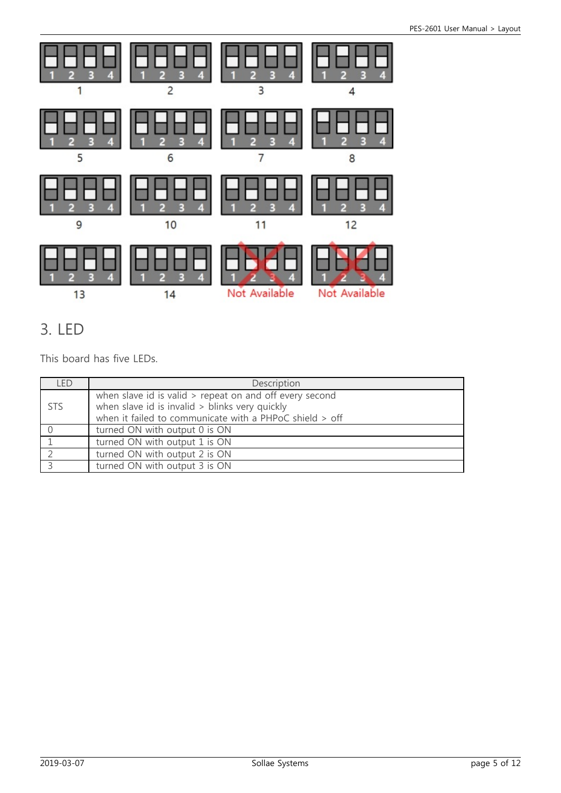

## 3. LED

This board has five LEDs.

| I FD       | Description                                                                                                                                                          |
|------------|----------------------------------------------------------------------------------------------------------------------------------------------------------------------|
| <b>STS</b> | when slave id is valid > repeat on and off every second<br>when slave id is invalid > blinks very quickly<br>when it failed to communicate with a PHPoC shield > off |
|            | turned ON with output 0 is ON                                                                                                                                        |
|            | turned ON with output 1 is ON                                                                                                                                        |
|            | turned ON with output 2 is ON                                                                                                                                        |
|            | turned ON with output 3 is ON                                                                                                                                        |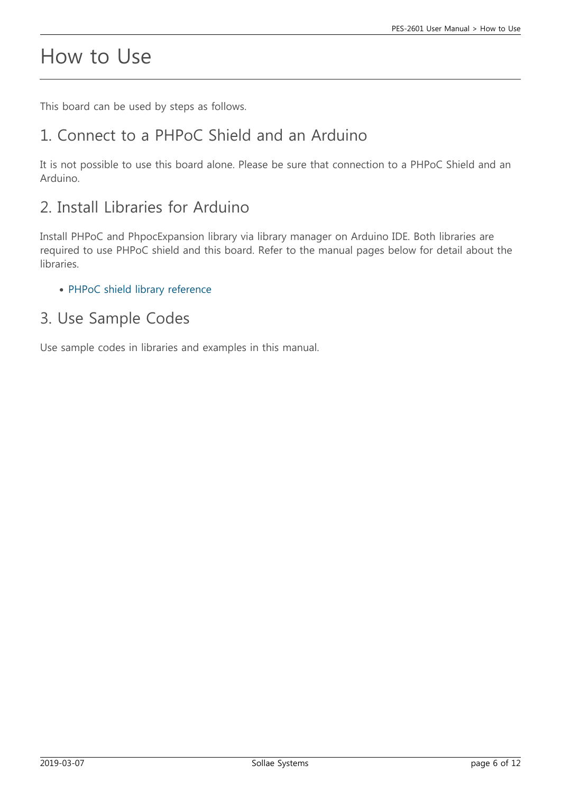## How to Use

This board can be used by steps as follows.

### 1. Connect to a PHPoC Shield and an Arduino

It is not possible to use this board alone. Please be sure that connection to a PHPoC Shield and an Arduino.

## 2. Install Libraries for Arduino

Install PHPoC and PhpocExpansion library via library manager on Arduino IDE. Both libraries are required to use PHPoC shield and this board. Refer to the manual pages below for detail about the libraries.

• [PHPoC shield library reference](https://www.phpoc.com/support/manual/phpoc_shield_for_arduino_library_reference)

#### 3. Use Sample Codes

Use sample codes in libraries and examples in this manual.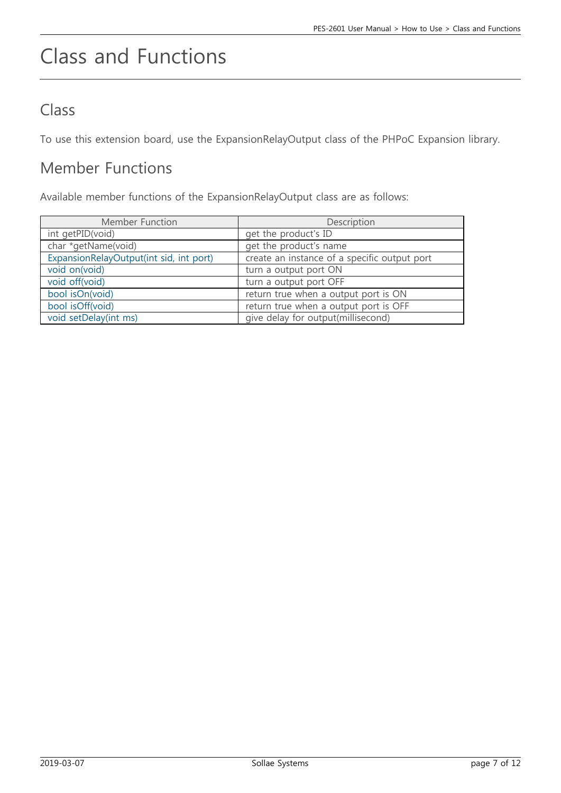# Class and Functions

### Class

To use this extension board, use the ExpansionRelayOutput class of the PHPoC Expansion library.

#### Member Functions

Available member functions of the ExpansionRelayOutput class are as follows:

| Member Function                         | Description                                  |
|-----------------------------------------|----------------------------------------------|
| int getPID(void)                        | get the product's ID                         |
| char *getName(void)                     | get the product's name                       |
| ExpansionRelayOutput(int sid, int port) | create an instance of a specific output port |
| void on(void)                           | turn a output port ON                        |
| void off(void)                          | turn a output port OFF                       |
| bool isOn(void)                         | return true when a output port is ON         |
| bool isOff(void)                        | return true when a output port is OFF        |
| void setDelay(int ms)                   | give delay for output(millisecond)           |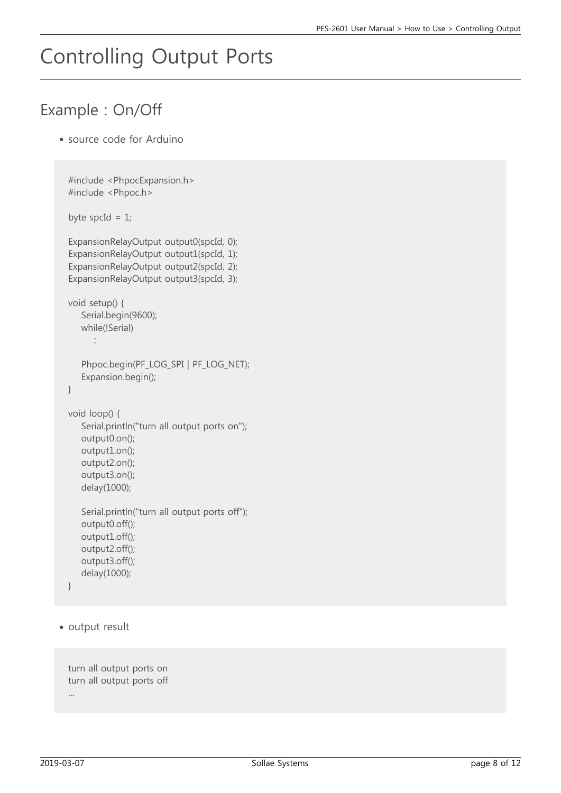# Controlling Output Ports

## Example : On/Off

source code for Arduino

```
#include <PhpocExpansion.h>
  #include <Phpoc.h>
  byte spcId = 1;
  ExpansionRelayOutput output0(spcId, 0);
  ExpansionRelayOutput output1(spcId, 1);
  ExpansionRelayOutput output2(spcId, 2);
  ExpansionRelayOutput output3(spcId, 3);
  void setup() {
      Serial.begin(9600);
      while(!Serial)
         ;
      Phpoc.begin(PF_LOG_SPI | PF_LOG_NET);
      Expansion.begin();
 }
  void loop() {
      Serial.println("turn all output ports on");
      output0.on();
      output1.on();
      output2.on();
      output3.on();
      delay(1000);
      Serial.println("turn all output ports off");
      output0.off();
      output1.off();
      output2.off();
      output3.off();
      delay(1000);
 }
• output result
```

```
turn all output ports on
turn all output ports off
...
```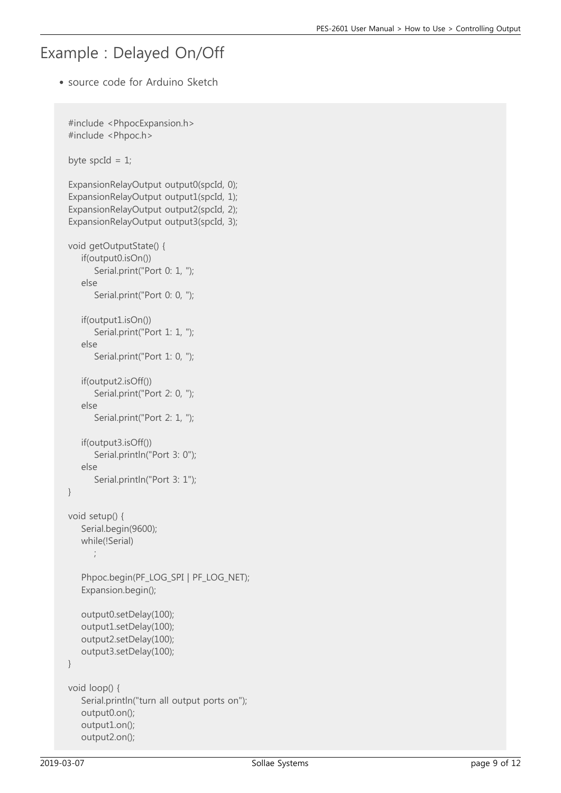#### Example : Delayed On/Off

source code for Arduino Sketch

```
#include <PhpocExpansion.h>
#include <Phpoc.h>
byte spcId = 1;
ExpansionRelayOutput output0(spcId, 0);
ExpansionRelayOutput output1(spcId, 1);
ExpansionRelayOutput output2(spcId, 2);
ExpansionRelayOutput output3(spcId, 3);
void getOutputState() {
    if(output0.isOn())
       Serial.print("Port 0: 1, ");
    else
       Serial.print("Port 0: 0, ");
    if(output1.isOn())
      Serial.print("Port 1: 1, ");
    else
      Serial.print("Port 1: 0, ");
    if(output2.isOff())
       Serial.print("Port 2: 0, ");
    else
       Serial.print("Port 2: 1, ");
    if(output3.isOff())
       Serial.println("Port 3: 0");
    else
       Serial.println("Port 3: 1");
}
void setup() {
    Serial.begin(9600);
    while(!Serial)
       ;
    Phpoc.begin(PF_LOG_SPI | PF_LOG_NET);
    Expansion.begin();
    output0.setDelay(100);
    output1.setDelay(100);
    output2.setDelay(100);
    output3.setDelay(100);
}
void loop() {
    Serial.println("turn all output ports on");
    output0.on();
    output1.on();
    output2.on();
```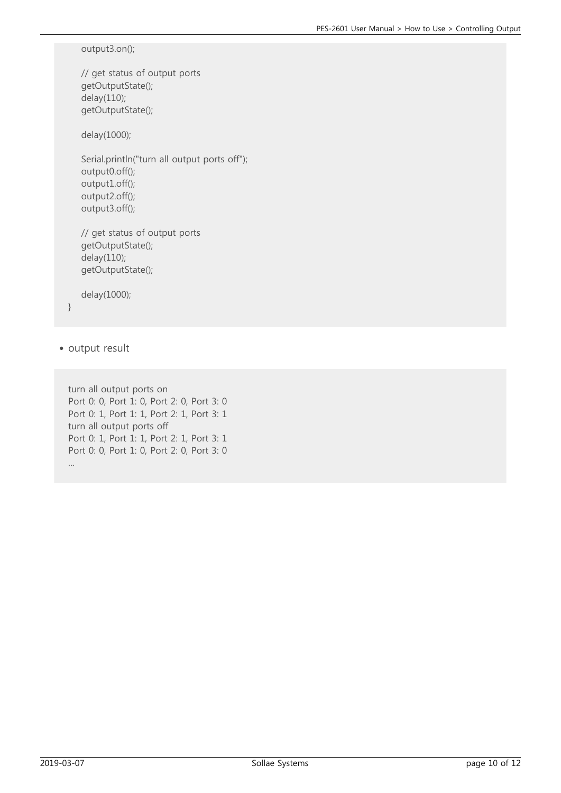output3.on();

 // get status of output ports getOutputState(); delay(110); getOutputState();

delay(1000);

 Serial.println("turn all output ports off"); output0.off(); output1.off(); output2.off(); output3.off();

 // get status of output ports getOutputState(); delay(110); getOutputState();

delay(1000);

}

• output result

turn all output ports on Port 0: 0, Port 1: 0, Port 2: 0, Port 3: 0 Port 0: 1, Port 1: 1, Port 2: 1, Port 3: 1 turn all output ports off Port 0: 1, Port 1: 1, Port 2: 1, Port 3: 1 Port 0: 0, Port 1: 0, Port 2: 0, Port 3: 0 ...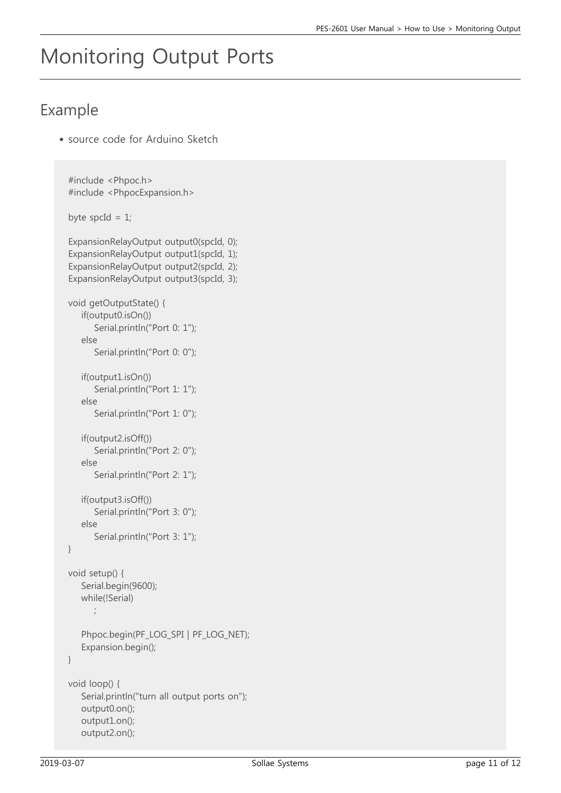# Monitoring Output Ports

### Example

source code for Arduino Sketch

```
#include <Phpoc.h>
#include <PhpocExpansion.h>
byte spcId = 1;
ExpansionRelayOutput output0(spcId, 0);
ExpansionRelayOutput output1(spcId, 1);
ExpansionRelayOutput output2(spcId, 2);
ExpansionRelayOutput output3(spcId, 3);
void getOutputState() {
    if(output0.isOn())
      Serial.println("Port 0: 1");
    else
       Serial.println("Port 0: 0");
    if(output1.isOn())
      Serial.println("Port 1: 1");
    else
       Serial.println("Port 1: 0");
    if(output2.isOff())
       Serial.println("Port 2: 0");
    else
       Serial.println("Port 2: 1");
    if(output3.isOff())
       Serial.println("Port 3: 0");
    else
        Serial.println("Port 3: 1");
}
void setup() {
    Serial.begin(9600);
    while(!Serial)
       ;
    Phpoc.begin(PF_LOG_SPI | PF_LOG_NET);
    Expansion.begin();
}
void loop() {
    Serial.println("turn all output ports on");
    output0.on();
    output1.on();
    output2.on();
```